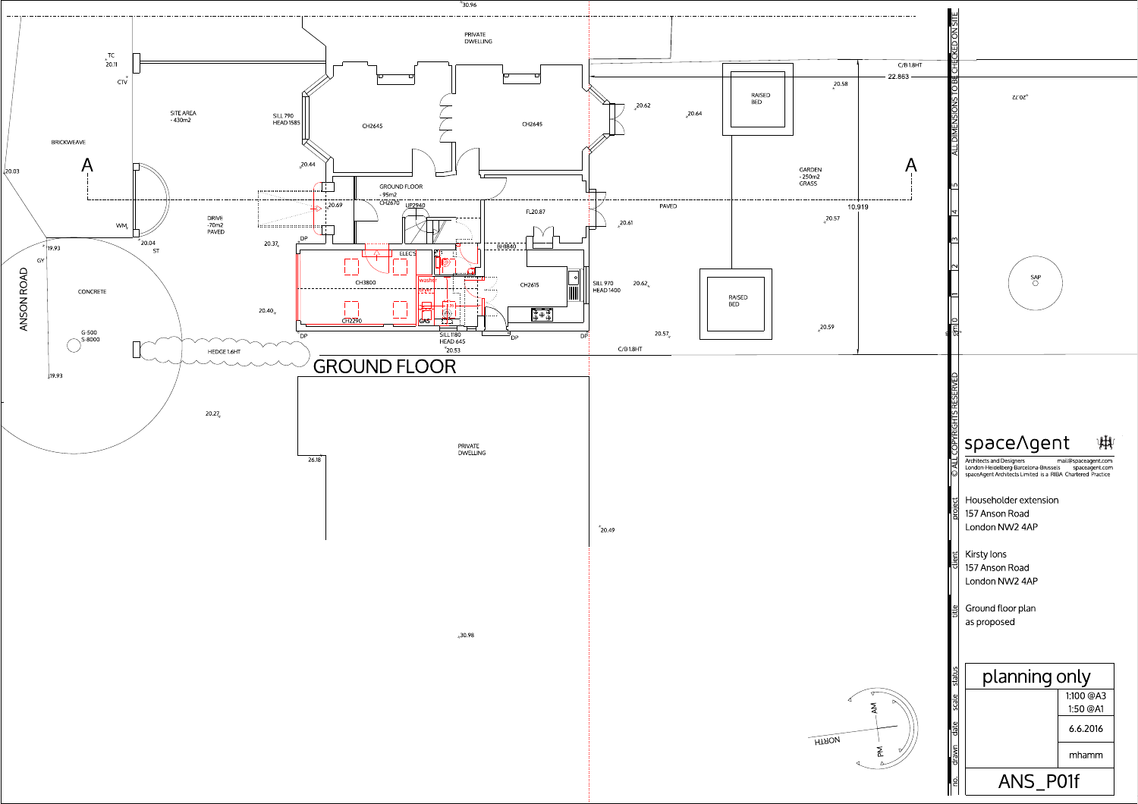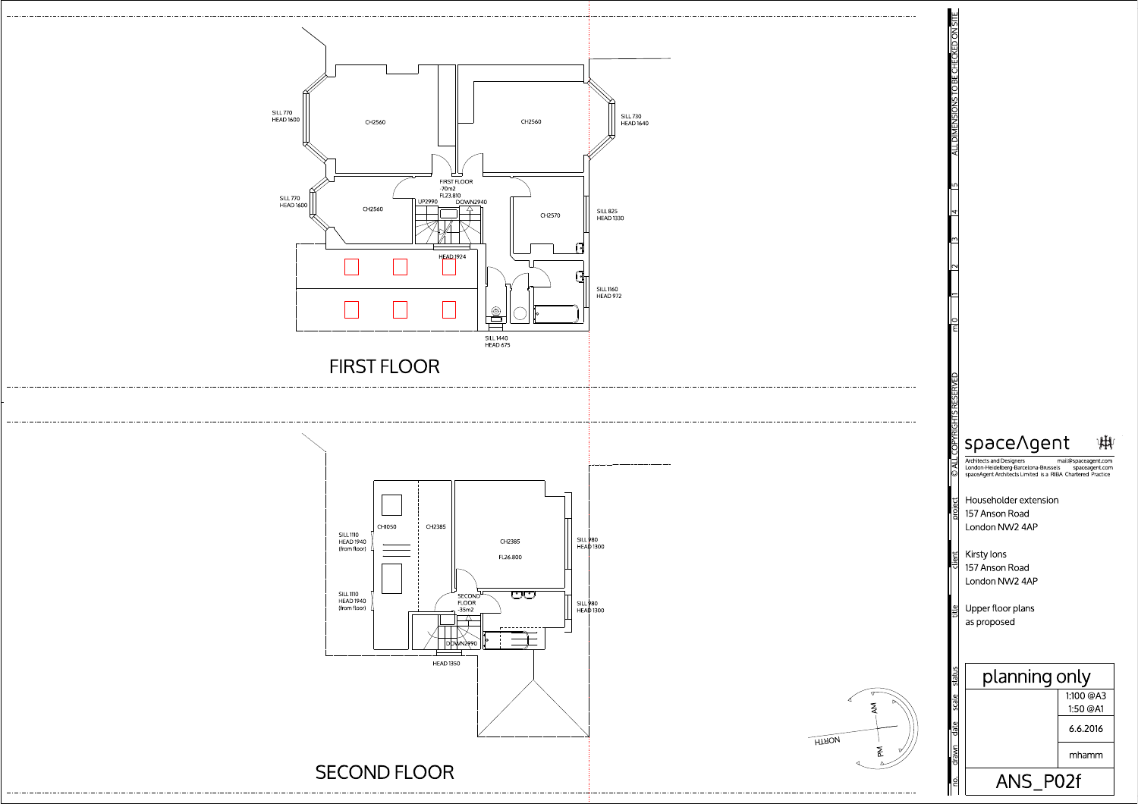





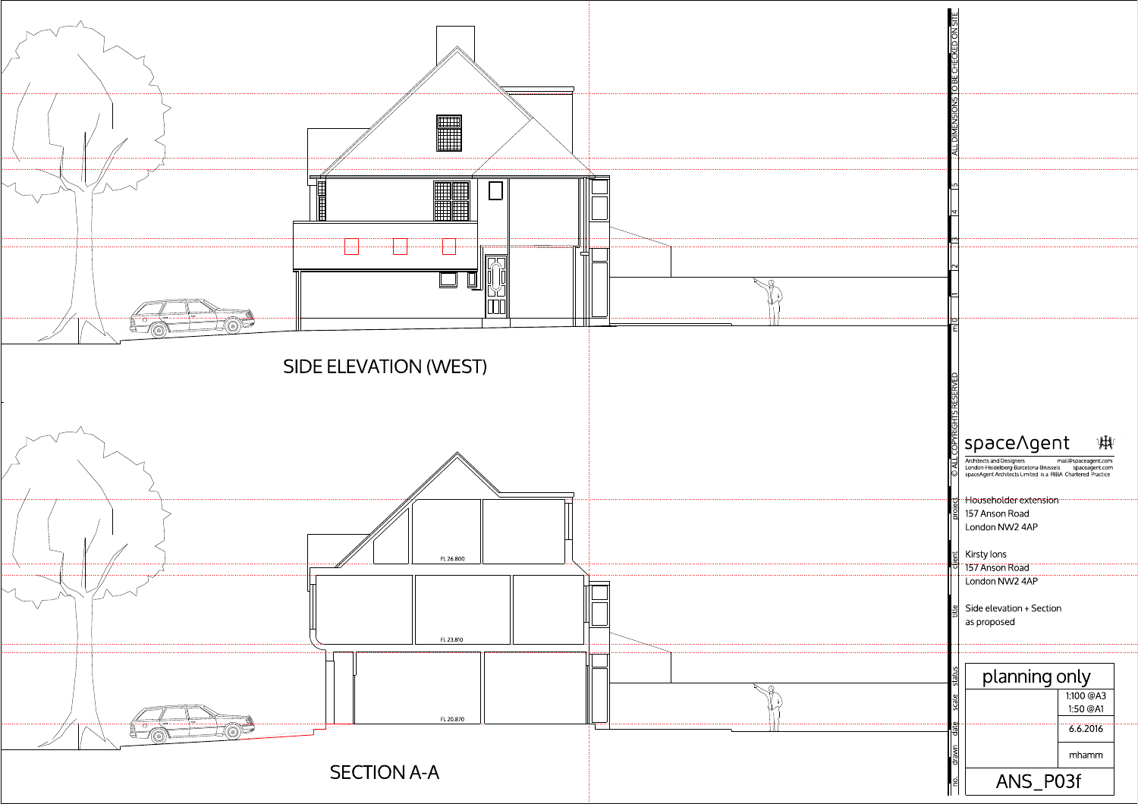